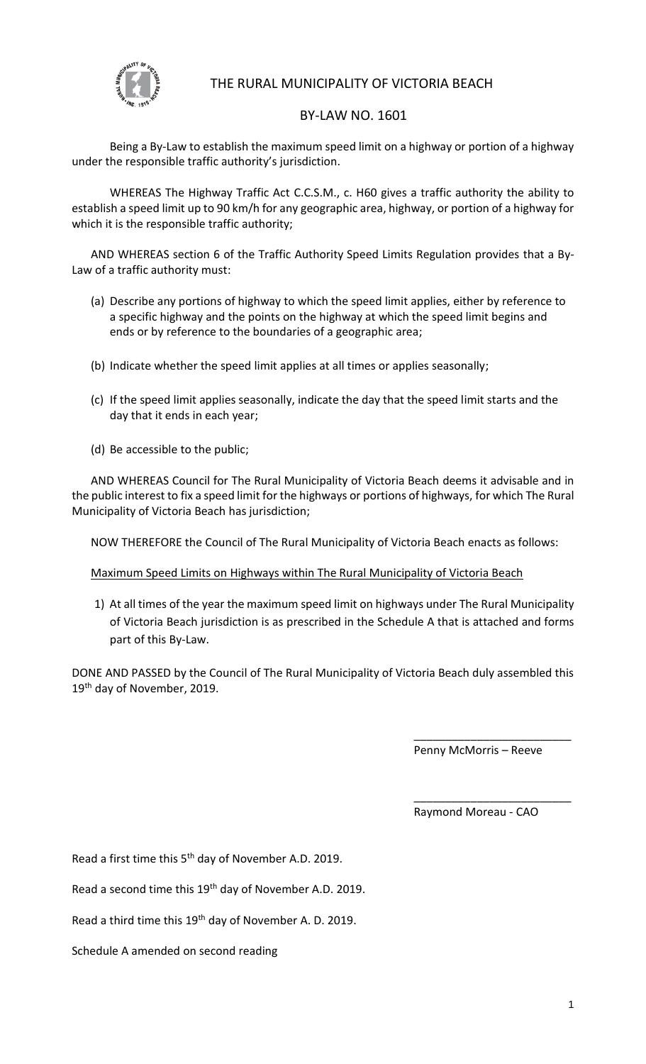

# THE RURAL MUNICIPALITY OF VICTORIA BEACH

#### BY-LAW NO. 1601

Being a By-Law to establish the maximum speed limit on a highway or portion of a highway under the responsible traffic authority's jurisdiction.

WHEREAS The Highway Traffic Act C.C.S.M., c. H60 gives a traffic authority the ability to establish a speed limit up to 90 km/h for any geographic area, highway, or portion of a highway for which it is the responsible traffic authority;

AND WHEREAS section 6 of the Traffic Authority Speed Limits Regulation provides that a By-Law of a traffic authority must:

- (a) Describe any portions of highway to which the speed limit applies, either by reference to a specific highway and the points on the highway at which the speed limit begins and ends or by reference to the boundaries of a geographic area;
- (b) Indicate whether the speed limit applies at all times or applies seasonally;
- (c) If the speed limit applies seasonally, indicate the day that the speed limit starts and the day that it ends in each year;
- (d) Be accessible to the public;

AND WHEREAS Council for The Rural Municipality of Victoria Beach deems it advisable and in the public interest to fix a speed limit for the highways or portions of highways, for which The Rural Municipality of Victoria Beach has jurisdiction;

NOW THEREFORE the Council of The Rural Municipality of Victoria Beach enacts as follows:

Maximum Speed Limits on Highways within The Rural Municipality of Victoria Beach

1) At all times of the year the maximum speed limit on highways under The Rural Municipality of Victoria Beach jurisdiction is as prescribed in the Schedule A that is attached and forms part of this By-Law.

DONE AND PASSED by the Council of The Rural Municipality of Victoria Beach duly assembled this 19<sup>th</sup> day of November, 2019.

Penny McMorris – Reeve

\_\_\_\_\_\_\_\_\_\_\_\_\_\_\_\_\_\_\_\_\_\_\_\_\_

\_\_\_\_\_\_\_\_\_\_\_\_\_\_\_\_\_\_\_\_\_\_\_\_\_

Raymond Moreau - CAO

Read a first time this 5<sup>th</sup> day of November A.D. 2019.

Read a second time this 19<sup>th</sup> day of November A.D. 2019.

Read a third time this 19<sup>th</sup> day of November A. D. 2019.

Schedule A amended on second reading